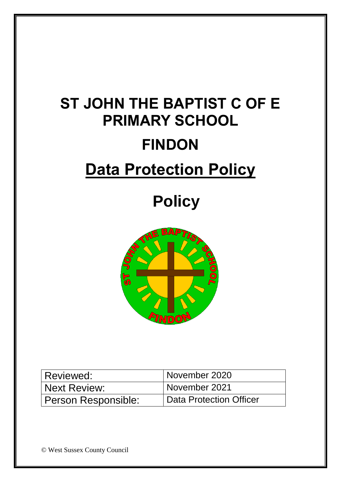# **ST JOHN THE BAPTIST C OF E PRIMARY SCHOOL FINDON Data Protection Policy**

# **Policy**



| Reviewed:           | November 2020           |
|---------------------|-------------------------|
| Next Review:        | November 2021           |
| Person Responsible: | Data Protection Officer |

© West Sussex County Council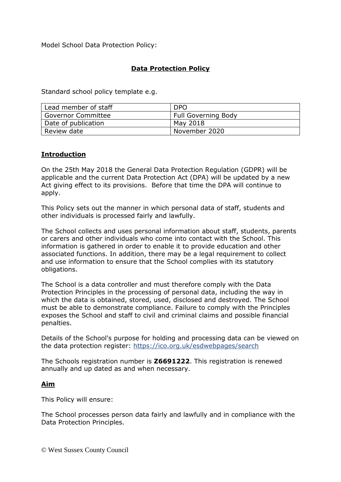Model School Data Protection Policy:

### **Data Protection Policy**

Standard school policy template e.g.

| <sup>I</sup> Lead member of staff | <b>DPO</b>                 |
|-----------------------------------|----------------------------|
| <b>Governor Committee</b>         | <b>Full Governing Body</b> |
| Date of publication               | May 2018                   |
| Review date                       | November 2020              |

#### **Introduction**

On the 25th May 2018 the General Data Protection Regulation (GDPR) will be applicable and the current Data Protection Act (DPA) will be updated by a new Act giving effect to its provisions. Before that time the DPA will continue to apply.

This Policy sets out the manner in which personal data of staff, students and other individuals is processed fairly and lawfully.

The School collects and uses personal information about staff, students, parents or carers and other individuals who come into contact with the School. This information is gathered in order to enable it to provide education and other associated functions. In addition, there may be a legal requirement to collect and use information to ensure that the School complies with its statutory obligations.

The School is a data controller and must therefore comply with the Data Protection Principles in the processing of personal data, including the way in which the data is obtained, stored, used, disclosed and destroyed. The School must be able to demonstrate compliance. Failure to comply with the Principles exposes the School and staff to civil and criminal claims and possible financial penalties.

Details of the School's purpose for holding and processing data can be viewed on the data protection register:<https://ico.org.uk/esdwebpages/search>

The Schools registration number is **Z6691222**. This registration is renewed annually and up dated as and when necessary.

#### **Aim**

This Policy will ensure:

The School processes person data fairly and lawfully and in compliance with the Data Protection Principles.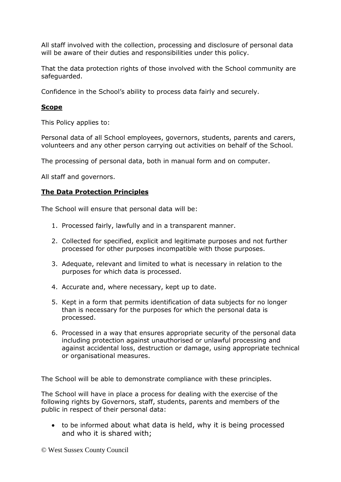All staff involved with the collection, processing and disclosure of personal data will be aware of their duties and responsibilities under this policy.

That the data protection rights of those involved with the School community are safeguarded.

Confidence in the School's ability to process data fairly and securely.

#### **Scope**

This Policy applies to:

Personal data of all School employees, governors, students, parents and carers, volunteers and any other person carrying out activities on behalf of the School.

The processing of personal data, both in manual form and on computer.

All staff and governors.

#### **The Data Protection Principles**

The School will ensure that personal data will be:

- 1. Processed fairly, lawfully and in a transparent manner.
- 2. Collected for specified, explicit and legitimate purposes and not further processed for other purposes incompatible with those purposes.
- 3. Adequate, relevant and limited to what is necessary in relation to the purposes for which data is processed.
- 4. Accurate and, where necessary, kept up to date.
- 5. Kept in a form that permits identification of data subjects for no longer than is necessary for the purposes for which the personal data is processed.
- 6. Processed in a way that ensures appropriate security of the personal data including protection against unauthorised or unlawful processing and against accidental loss, destruction or damage, using appropriate technical or organisational measures.

The School will be able to demonstrate compliance with these principles.

The School will have in place a process for dealing with the exercise of the following rights by Governors, staff, students, parents and members of the public in respect of their personal data:

 to be informed about what data is held, why it is being processed and who it is shared with;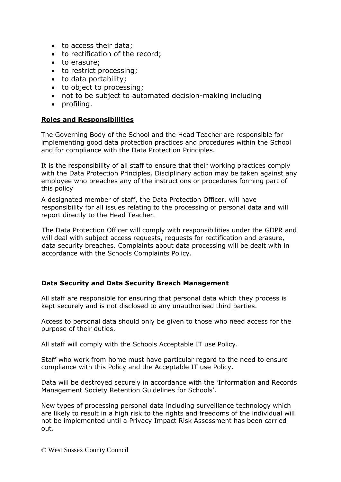- to access their data;
- to rectification of the record;
- to erasure:
- to restrict processing;
- to data portability;
- to object to processing;
- not to be subject to automated decision-making including
- $\bullet$  profiling.

#### **Roles and Responsibilities**

The Governing Body of the School and the Head Teacher are responsible for implementing good data protection practices and procedures within the School and for compliance with the Data Protection Principles.

It is the responsibility of all staff to ensure that their working practices comply with the Data Protection Principles. Disciplinary action may be taken against any employee who breaches any of the instructions or procedures forming part of this policy

A designated member of staff, the Data Protection Officer, will have responsibility for all issues relating to the processing of personal data and will report directly to the Head Teacher.

The Data Protection Officer will comply with responsibilities under the GDPR and will deal with subject access requests, requests for rectification and erasure, data security breaches. Complaints about data processing will be dealt with in accordance with the Schools Complaints Policy.

#### **Data Security and Data Security Breach Management**

All staff are responsible for ensuring that personal data which they process is kept securely and is not disclosed to any unauthorised third parties.

Access to personal data should only be given to those who need access for the purpose of their duties.

All staff will comply with the Schools Acceptable IT use Policy.

Staff who work from home must have particular regard to the need to ensure compliance with this Policy and the Acceptable IT use Policy.

Data will be destroyed securely in accordance with the 'Information and Records Management Society Retention Guidelines for Schools'.

New types of processing personal data including surveillance technology which are likely to result in a high risk to the rights and freedoms of the individual will not be implemented until a Privacy Impact Risk Assessment has been carried out.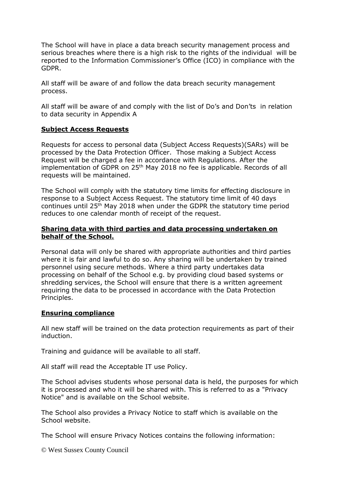The School will have in place a data breach security management process and serious breaches where there is a high risk to the rights of the individual will be reported to the Information Commissioner's Office (ICO) in compliance with the GDPR.

All staff will be aware of and follow the data breach security management process.

All staff will be aware of and comply with the list of Do's and Don'ts in relation to data security in Appendix A

#### **Subject Access Requests**

Requests for access to personal data (Subject Access Requests)(SARs) will be processed by the Data Protection Officer. Those making a Subject Access Request will be charged a fee in accordance with Regulations. After the implementation of GDPR on 25<sup>th</sup> May 2018 no fee is applicable. Records of all requests will be maintained.

The School will comply with the statutory time limits for effecting disclosure in response to a Subject Access Request. The statutory time limit of 40 days continues until 25th May 2018 when under the GDPR the statutory time period reduces to one calendar month of receipt of the request.

#### **Sharing data with third parties and data processing undertaken on behalf of the School.**

Personal data will only be shared with appropriate authorities and third parties where it is fair and lawful to do so. Any sharing will be undertaken by trained personnel using secure methods. Where a third party undertakes data processing on behalf of the School e.g. by providing cloud based systems or shredding services, the School will ensure that there is a written agreement requiring the data to be processed in accordance with the Data Protection Principles.

#### **Ensuring compliance**

All new staff will be trained on the data protection requirements as part of their induction.

Training and guidance will be available to all staff.

All staff will read the Acceptable IT use Policy.

The School advises students whose personal data is held, the purposes for which it is processed and who it will be shared with. This is referred to as a "Privacy Notice" and is available on the School website.

The School also provides a Privacy Notice to staff which is available on the School website.

The School will ensure Privacy Notices contains the following information:

© West Sussex County Council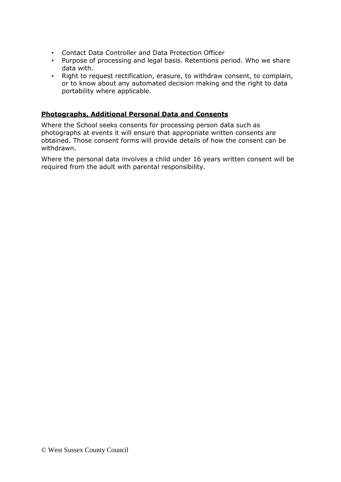- Contact Data Controller and Data Protection Officer
- Purpose of processing and legal basis. Retentions period. Who we share data with.
- Right to request rectification, erasure, to withdraw consent, to complain, or to know about any automated decision making and the right to data portability where applicable.

#### **Photographs, Additional Personal Data and Consents**

Where the School seeks consents for processing person data such as photographs at events it will ensure that appropriate written consents are obtained. Those consent forms will provide details of how the consent can be withdrawn.

Where the personal data involves a child under 16 years written consent will be required from the adult with parental responsibility.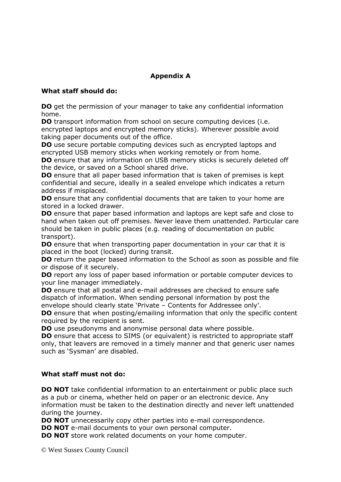## **Appendix A**

#### **What staff should do:**

**DO** get the permission of your manager to take any confidential information home.

**DO** transport information from school on secure computing devices (i.e. encrypted laptops and encrypted memory sticks). Wherever possible avoid taking paper documents out of the office.

**DO** use secure portable computing devices such as encrypted laptops and encrypted USB memory sticks when working remotely or from home.

**DO** ensure that any information on USB memory sticks is securely deleted off the device, or saved on a School shared drive.

**DO** ensure that all paper based information that is taken of premises is kept confidential and secure, ideally in a sealed envelope which indicates a return address if misplaced.

**DO** ensure that any confidential documents that are taken to your home are stored in a locked drawer.

**DO** ensure that paper based information and laptops are kept safe and close to hand when taken out off premises. Never leave them unattended. Particular care should be taken in public places (e.g. reading of documentation on public transport).

**DO** ensure that when transporting paper documentation in your car that it is placed in the boot (locked) during transit.

**DO** return the paper based information to the School as soon as possible and file or dispose of it securely.

**DO** report any loss of paper based information or portable computer devices to your line manager immediately.

**DO** ensure that all postal and e-mail addresses are checked to ensure safe dispatch of information. When sending personal information by post the envelope should clearly state 'Private – Contents for Addressee only'.

**DO** ensure that when posting/emailing information that only the specific content required by the recipient is sent.

**DO** use pseudonyms and anonymise personal data where possible.

**DO** ensure that access to SIMS (or equivalent) is restricted to appropriate staff only, that leavers are removed in a timely manner and that generic user names such as 'Sysman' are disabled.

#### **What staff must not do:**

**DO NOT** take confidential information to an entertainment or public place such as a pub or cinema, whether held on paper or an electronic device. Any information must be taken to the destination directly and never left unattended during the journey.

**DO NOT** unnecessarily copy other parties into e-mail correspondence.

**DO NOT** e-mail documents to your own personal computer.

**DO NOT** store work related documents on your home computer.